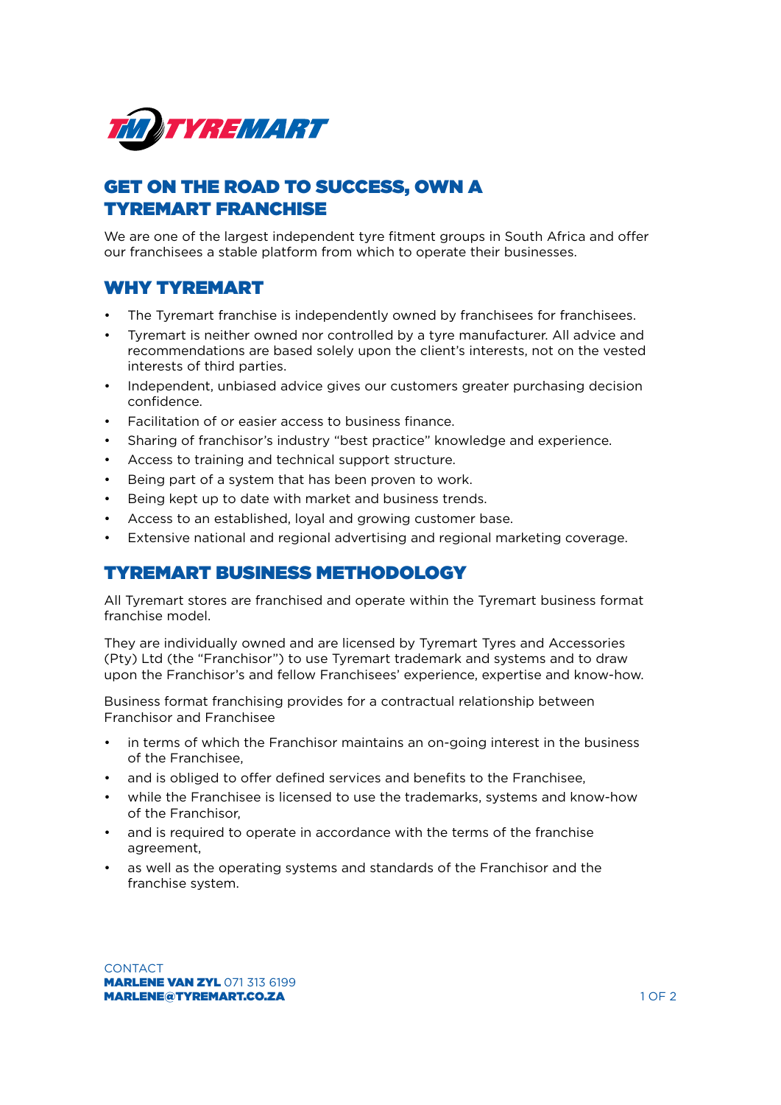

# GET ON THE ROAD TO SUCCESS, OWN A TYREMART FRANCHISE

We are one of the largest independent tyre fitment groups in South Africa and offer our franchisees a stable platform from which to operate their businesses.

## WHY TYREMART

- The Tyremart franchise is independently owned by franchisees for franchisees.
- Tyremart is neither owned nor controlled by a tyre manufacturer. All advice and recommendations are based solely upon the client's interests, not on the vested interests of third parties.
- Independent, unbiased advice gives our customers greater purchasing decision confidence.
- Facilitation of or easier access to business finance.
- Sharing of franchisor's industry "best practice" knowledge and experience.
- Access to training and technical support structure.
- Being part of a system that has been proven to work.
- Being kept up to date with market and business trends.
- Access to an established, loyal and growing customer base.
- Extensive national and regional advertising and regional marketing coverage.

#### TYREMART BUSINESS METHODOLOGY

All Tyremart stores are franchised and operate within the Tyremart business format franchise model.

They are individually owned and are licensed by Tyremart Tyres and Accessories (Pty) Ltd (the "Franchisor") to use Tyremart trademark and systems and to draw upon the Franchisor's and fellow Franchisees' experience, expertise and know-how.

Business format franchising provides for a contractual relationship between Franchisor and Franchisee

- in terms of which the Franchisor maintains an on-going interest in the business of the Franchisee,
- and is obliged to offer defined services and benefits to the Franchisee,
- while the Franchisee is licensed to use the trademarks, systems and know-how of the Franchisor,
- and is required to operate in accordance with the terms of the franchise agreement,
- as well as the operating systems and standards of the Franchisor and the franchise system.